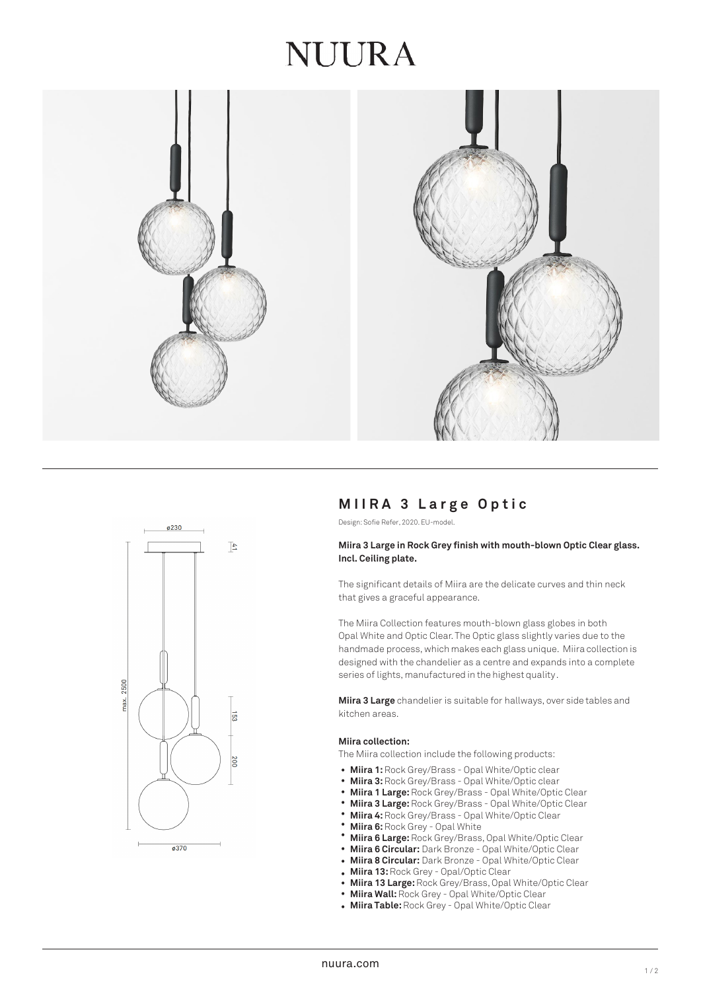## NUIRA





### **M IIRA 3 L arge O pti c**

Design: Sofie Refer, 2020. EU-model.

#### **Miira 3 Large in Rock Grey finish with mouth-blown Optic Clear glass. Incl. Ceiling plate.**

The significant details of Miira are the delicate curves and thin neck that gives a graceful appearance.

The Miira Collection features mouth-blown glass globes in both Opal White and Optic Clear. The Optic glass slightly varies due to the handmade process, which makes each glass unique. Miira collection is designed with the chandelier as a centre and expands into a complete series of lights, manufactured in the highest quality.

**Miira 3 Large** chandelier is suitable for hallways, over side tables and kitchen areas.

#### **Miira collection:**

The Miira collection include the following products:

- Miira 1: Rock Grey/Brass Opal White/Optic clear
- Miira 3: Rock Grey/Brass Opal White/Optic clear
- **Miira 1 Large:**Rock Grey/Brass Opal White/Optic Clear •
- **Miira 3 Large:** Rock Grey/Brass Opal White/Optic Clear •
- **Miira 4:** Rock Grey/Brass Opal White/Optic Clear •
- **Miira 6:** Rock Grey Opal White •
- **Miira 6 Large:**Rock Grey/Brass, Opal White/Optic Clear •
- **Miira 6 Circular:** Dark Bronze Opal White/Optic Clear
- **Miira 8 Circular:** Dark Bronze Opal White/Optic Clear •
- **Miira 13:**Rock Grey Opal/Optic Clear
- **Miira 13 Large:**Rock Grey/Brass, Opal White/Optic Clear •
- **Miira Wall:** Rock Grey Opal White/Optic Clear
- **Miira Table:** Rock Grey Opal White/Optic Clear •